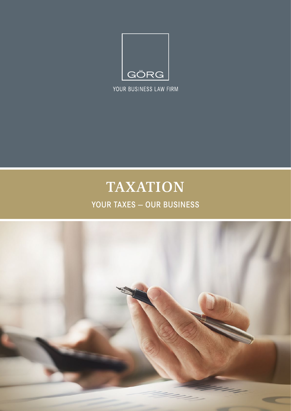

YOUR BUSINESS LAW FIRM

# **TAXATION**

### YOUR TAXES — OUR BUSINESS

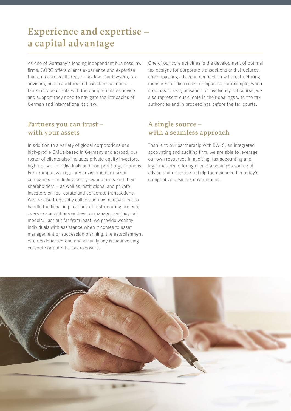# **Experience and expertise – a capital advantage**

As one of Germany's leading independent business law firms, GÖRG offers clients experience and expertise that cuts across all areas of tax law. Our lawyers, tax advisors, public auditors and assistant tax consultants provide clients with the comprehensive advice and support they need to navigate the intricacies of German and international tax law.

#### **Partners you can trust – with your assets**

In addition to a variety of global corporations and high-profile SMUs based in Germany and abroad, our roster of clients also includes private equity investors, high-net-worth individuals and non-profit organisations. For example, we regularly advise medium-sized companies — including family-owned firms and their shareholders — as well as institutional and private investors on real estate and corporate transactions. We are also frequently called upon by management to handle the fiscal implications of restructuring projects, oversee acquisitions or develop management buy-out models. Last but far from least, we provide wealthy individuals with assistance when it comes to asset management or succession planning, the establishment of a residence abroad and virtually any issue involving concrete or potential tax exposure.

One of our core activities is the development of optimal tax designs for corporate transactions and structures, encompassing advice in connection with restructuring measures for distressed companies, for example, when it comes to reorganisation or insolvency. Of course, we also represent our clients in their dealings with the tax authorities and in proceedings before the tax courts.

#### **A single source – with a seamless approach**

Thanks to our partnership with BWLS, an integrated accounting and auditing firm, we are able to leverage our own resources in auditing, tax accounting and legal matters, offering clients a seamless source of advice and expertise to help them succeed in today's competitive business environment.

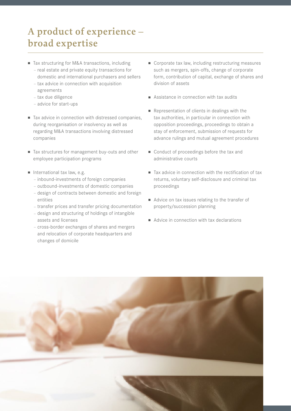# **A product of experience – broad expertise**

- Tax structuring for M&A transactions, including
	- real estate and private equity transactions for domestic and international purchasers and sellers
	- tax advice in connection with acquisition
	- agreements
	- tax due diligence
	- advice for start-ups
- Tax advice in connection with distressed companies, during reorganisation or insolvency as well as regarding M&A transactions involving distressed companies
- Tax structures for management buy-outs and other employee participation programs
- $\blacksquare$  International tax law, e.g.
	- inbound-investments of foreign companies
	- outbound-investments of domestic companies
	- design of contracts between domestic and foreign entities
	- transfer prices and transfer pricing documentation
	- design and structuring of holdings of intangible assets and licenses
	- cross-border exchanges of shares and mergers and relocation of corporate headquarters and changes of domicile
- $\blacksquare$  Corporate tax law, including restructuring measures such as mergers, spin-offs, change of corporate form, contribution of capital, exchange of shares and division of assets
- $\blacksquare$  Assistance in connection with tax audits
- Representation of clients in dealings with the tax authorities, in particular in connection with opposition proceedings, proceedings to obtain a stay of enforcement, submission of requests for advance rulings and mutual agreement procedures
- Conduct of proceedings before the tax and administrative courts
- $\blacksquare$  Tax advice in connection with the rectification of tax returns, voluntary self-disclosure and criminal tax proceedings
- Advice on tax issues relating to the transfer of property/succession planning
- $\blacksquare$  Advice in connection with tax declarations

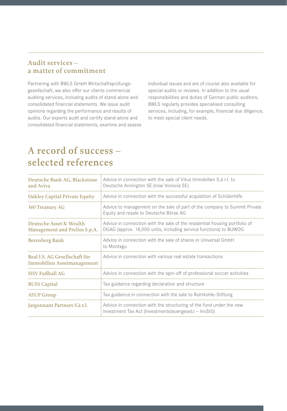#### **Audit services – a matter of commitment**

Partnering with BWLS GmbH Wirtschaftsprüfungsgesellschaft, we also offer our clients commercial auditing services, including audits of stand-alone and consolidated financial statements. We issue audit opinions regarding the performance and results of audits. Our experts audit and certify stand-alone and consolidated financial statements, examine and assess individual issues and are of course also available for special audits or reviews. In addition to the usual responsibilities and duties of German public auditors, BWLS regularly provides specialised consulting services, including, for example, financial due diligence, to meet special client needs.

### **A record of success – selected references**

| Deutsche Bank AG, Blackstone<br>and Aviva                          | Advice in connection with the sale of Vitus Immobilien S.à r.l. to<br>Deutsche Annington SE (now Vonovia SE)                                    |
|--------------------------------------------------------------------|-------------------------------------------------------------------------------------------------------------------------------------------------|
| <b>Oakley Capital Private Equity</b>                               | Advice in connection with the successful acquisition of Schülerhilfe                                                                            |
| <b>360 Treasury AG</b>                                             | Advice to management on the sale of part of the company to Summit Private<br>Equity and resale to Deutsche Börse AG                             |
| Deutsche Asset & Wealth<br>Management and Prelios S.p.A.           | Advice in connection with the sale of the residential housing portfolio of<br>DGAG (approx. 18,000 units, including service functions) to BUWOG |
| <b>Berenberg Bank</b>                                              | Advice in connection with the sale of shares in Universal GmbH<br>to Montagu                                                                    |
| Real I.S. AG Gesellschaft für<br><b>Immobilien Assetmanagement</b> | Advice in connection with various real estate transactions                                                                                      |
| <b>HSV Fußball AG</b>                                              | Advice in connection with the spin-off of professional soccer activities                                                                        |
| <b>BUSS Capital</b>                                                | Tax guidance regarding declaration and structure                                                                                                |
| <b>ASUP Group</b>                                                  | Tax guidance in connection with the sale to Ruhrkohle-Stiftung                                                                                  |
| Jargonnant Partners S.à r.l.                                       | Advice in connection with the structuring of the fund under the new<br>Investment Tax Act (Investmentsteuergesetz - InvStG)                     |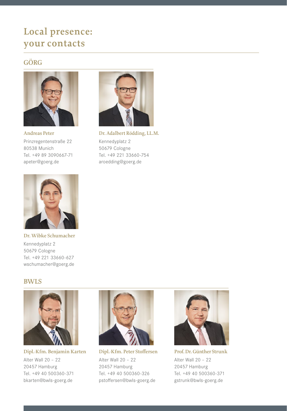## **Local presence: your contacts**

### **GÖRG**



**Andreas Peter**  Prinzregentenstraße 22 80538 Munich Tel. +49 89 3090667-71 apeter@goerg.de



**Dr. Adalbert Rödding, LL.M.** Kennedyplatz 2 50679 Cologne Tel. +49 221 33660-754 aroedding@goerg.de



**Dr. Wibke Schumacher**  Kennedyplatz 2 50679 Cologne Tel. +49 221 33660-627 wschumacher@goerg.de

#### **BWLS**



**Dipl.-Kfm. Benjamin Karten** Alter Wall 20 – 22 20457 Hamburg Tel. +49 40 500360-371 bkarten@bwls-goerg.de



**Dipl.-Kfm. Peter Stoffersen** Alter Wall 20 – 22 20457 Hamburg Tel. +49 40 500360-326 pstoffersen@bwls-goerg.de



**Prof. Dr. Günther Strunk** Alter Wall 20 – 22 20457 Hamburg Tel. +49 40 500360-371 gstrunk@bwls-goerg.de